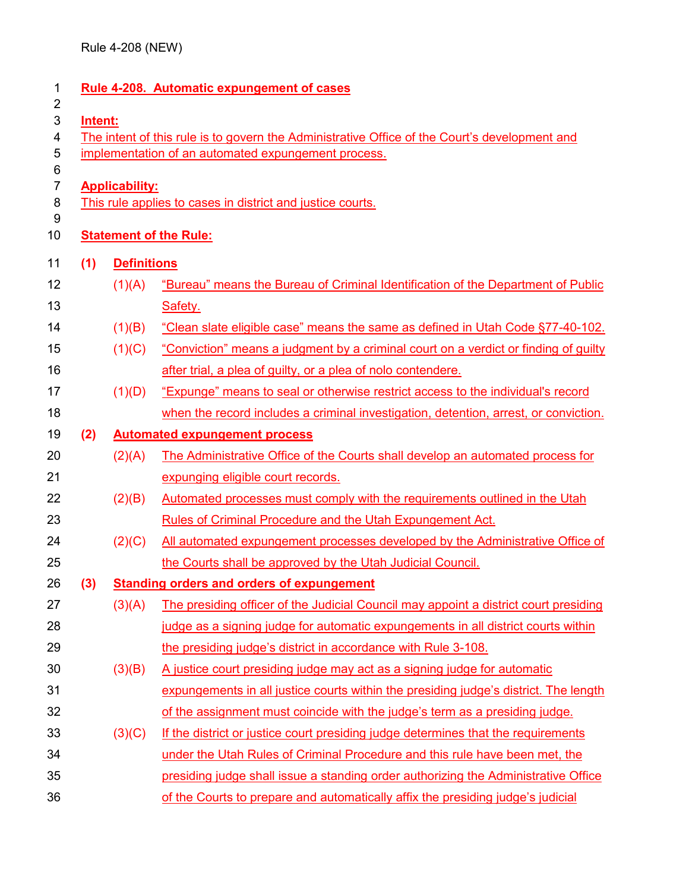| <b>Rule 4-208. Automatic expungement of cases</b><br>$\overline{2}$                           |                       |                                                                                      |  |  |  |
|-----------------------------------------------------------------------------------------------|-----------------------|--------------------------------------------------------------------------------------|--|--|--|
| Intent:                                                                                       |                       |                                                                                      |  |  |  |
| The intent of this rule is to govern the Administrative Office of the Court's development and |                       |                                                                                      |  |  |  |
|                                                                                               |                       | implementation of an automated expungement process.                                  |  |  |  |
|                                                                                               | <b>Applicability:</b> |                                                                                      |  |  |  |
|                                                                                               |                       | This rule applies to cases in district and justice courts.                           |  |  |  |
|                                                                                               |                       |                                                                                      |  |  |  |
| <b>Statement of the Rule:</b>                                                                 |                       |                                                                                      |  |  |  |
| (1)                                                                                           | <b>Definitions</b>    |                                                                                      |  |  |  |
|                                                                                               | (1)(A)                | "Bureau" means the Bureau of Criminal Identification of the Department of Public     |  |  |  |
|                                                                                               |                       | Safety.                                                                              |  |  |  |
|                                                                                               | (1)(B)                | "Clean slate eligible case" means the same as defined in Utah Code §77-40-102.       |  |  |  |
|                                                                                               | (1)(C)                | "Conviction" means a judgment by a criminal court on a verdict or finding of guilty  |  |  |  |
|                                                                                               |                       | after trial, a plea of guilty, or a plea of nolo contendere.                         |  |  |  |
|                                                                                               | (1)(D)                | "Expunge" means to seal or otherwise restrict access to the individual's record      |  |  |  |
|                                                                                               |                       | when the record includes a criminal investigation, detention, arrest, or conviction. |  |  |  |
| (2)                                                                                           |                       | <b>Automated expungement process</b>                                                 |  |  |  |
|                                                                                               | (2)(A)                | The Administrative Office of the Courts shall develop an automated process for       |  |  |  |
|                                                                                               |                       | expunging eligible court records.                                                    |  |  |  |
|                                                                                               | (2)(B)                | Automated processes must comply with the requirements outlined in the Utah           |  |  |  |
|                                                                                               |                       | Rules of Criminal Procedure and the Utah Expungement Act.                            |  |  |  |
|                                                                                               | (2)(C)                | All automated expungement processes developed by the Administrative Office of        |  |  |  |
|                                                                                               |                       | the Courts shall be approved by the Utah Judicial Council.                           |  |  |  |
| (3)                                                                                           |                       | <b>Standing orders and orders of expungement</b>                                     |  |  |  |
|                                                                                               | (3)(A)                | The presiding officer of the Judicial Council may appoint a district court presiding |  |  |  |
|                                                                                               |                       | judge as a signing judge for automatic expungements in all district courts within    |  |  |  |
|                                                                                               |                       | the presiding judge's district in accordance with Rule 3-108.                        |  |  |  |
|                                                                                               | (3)(B)                | A justice court presiding judge may act as a signing judge for automatic             |  |  |  |
|                                                                                               |                       | expungements in all justice courts within the presiding judge's district. The length |  |  |  |
|                                                                                               |                       | of the assignment must coincide with the judge's term as a presiding judge.          |  |  |  |
|                                                                                               | (3)(C)                | If the district or justice court presiding judge determines that the requirements    |  |  |  |
|                                                                                               |                       | under the Utah Rules of Criminal Procedure and this rule have been met, the          |  |  |  |
|                                                                                               |                       | presiding judge shall issue a standing order authorizing the Administrative Office   |  |  |  |
|                                                                                               |                       | of the Courts to prepare and automatically affix the presiding judge's judicial      |  |  |  |
|                                                                                               |                       |                                                                                      |  |  |  |